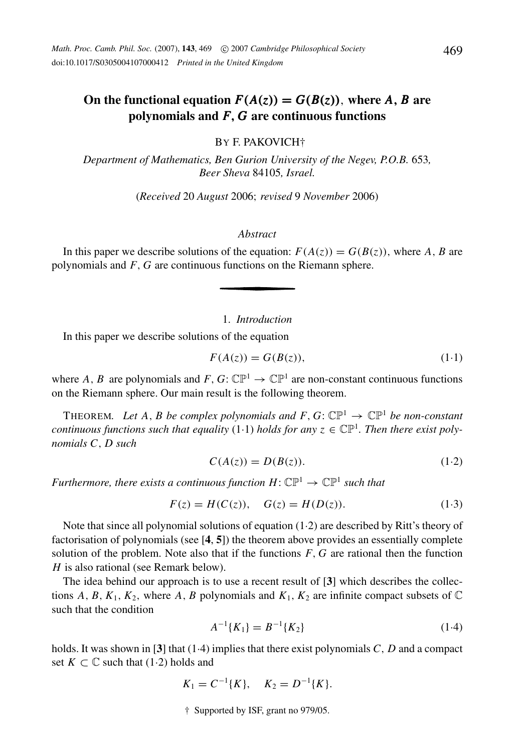# On the functional equation  $F(A(z)) = G(B(z))$ , where *A*, *B* are **polynomials and** *F*, *G* **are continuous functions**

BY F. PAKOVICH†

*Department of Mathematics, Ben Gurion University of the Negev, P.O.B.* 653*, Beer Sheva* 84105*, Israel.*

(*Received* 20 *August* 2006; *revised* 9 *November* 2006)

# *Abstract*

In this paper we describe solutions of the equation:  $F(A(z)) = G(B(z))$ , where *A*, *B* are polynomials and *F*, *G* are continuous functions on the Riemann sphere.

1. *Introduction*

In this paper we describe solutions of the equation

$$
F(A(z)) = G(B(z)),\tag{1-1}
$$

where A, B are polynomials and F,  $G: \mathbb{CP}^1 \to \mathbb{CP}^1$  are non-constant continuous functions on the Riemann sphere. Our main result is the following theorem.

THEOREM. Let A, B be complex polynomials and  $F, G: \mathbb{CP}^1 \to \mathbb{CP}^1$  be non-constant *continuous functions such that equality* (1.1) *holds for any*  $z \in \mathbb{CP}^1$ . Then there exist poly*nomials C*, *D such*

$$
C(A(z)) = D(B(z)).
$$
\n<sup>(1.2)</sup>

*Furthermore, there exists a continuous function H:*  $\mathbb{CP}^1 \to \mathbb{CP}^1$  *such that* 

$$
F(z) = H(C(z)), \quad G(z) = H(D(z)).
$$
 (1.3)

Note that since all polynomial solutions of equation (1·2) are described by Ritt's theory of factorisation of polynomials (see [**4**, **5**]) the theorem above provides an essentially complete solution of the problem. Note also that if the functions *F*, *G* are rational then the function *H* is also rational (see Remark below).

The idea behind our approach is to use a recent result of [**3**] which describes the collections *A*, *B*,  $K_1$ ,  $K_2$ , where *A*, *B* polynomials and  $K_1$ ,  $K_2$  are infinite compact subsets of  $\mathbb C$ such that the condition

$$
A^{-1}{K_1} = B^{-1}{K_2}
$$
\n(1.4)

holds. It was shown in [**3**] that (1·4) implies that there exist polynomials *C*, *D* and a compact set  $K \subset \mathbb{C}$  such that (1.2) holds and

$$
K_1 = C^{-1}{K}
$$
,  $K_2 = D^{-1}{K}$ .

† Supported by ISF, grant no 979/05.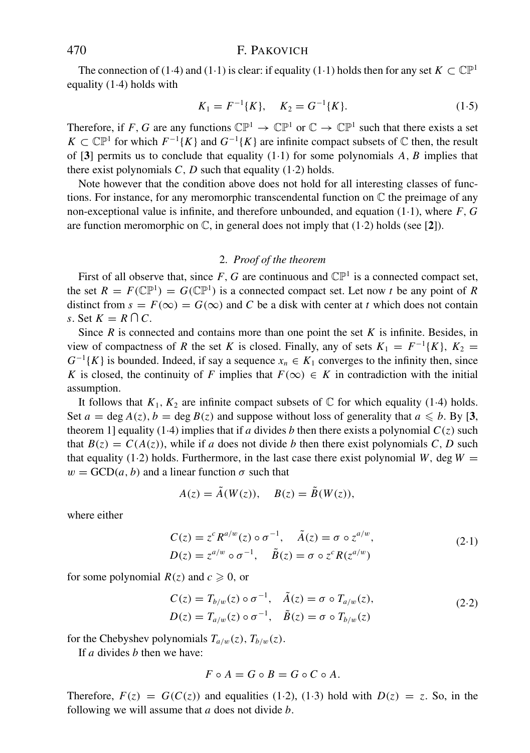### 470 F. PAKOVICH

The connection of (1·4) and (1·1) is clear: if equality (1·1) holds then for any set  $K \subset \mathbb{CP}^1$ equality  $(1.4)$  holds with

$$
K_1 = F^{-1}{K}, \quad K_2 = G^{-1}{K}.
$$
\n(1.5)

Therefore, if *F*, *G* are any functions  $\mathbb{CP}^1 \to \mathbb{CP}^1$  or  $\mathbb{C} \to \mathbb{CP}^1$  such that there exists a set *K* ⊂  $\mathbb{CP}^1$  for which  $F^{-1}{K}$  and  $G^{-1}{K}$  are infinite compact subsets of  $\mathbb C$  then, the result of [**3**] permits us to conclude that equality (1·1) for some polynomials *A*, *B* implies that there exist polynomials  $C$ ,  $D$  such that equality  $(1.2)$  holds.

Note however that the condition above does not hold for all interesting classes of functions. For instance, for any meromorphic transcendental function on C the preimage of any non-exceptional value is infinite, and therefore unbounded, and equation (1·1), where *F*, *G* are function meromorphic on C, in general does not imply that (1·2) holds (see [**2**]).

# 2. *Proof of the theorem*

First of all observe that, since  $F$ ,  $G$  are continuous and  $\mathbb{CP}^1$  is a connected compact set, the set  $R = F(\mathbb{CP}^1) = G(\mathbb{CP}^1)$  is a connected compact set. Let now *t* be any point of *R* distinct from  $s = F(\infty) = G(\infty)$  and C be a disk with center at t which does not contain *s*. Set  $K = R \cap C$ .

Since *R* is connected and contains more than one point the set *K* is infinite. Besides, in view of compactness of *R* the set *K* is closed. Finally, any of sets  $K_1 = F^{-1}{K}$ ,  $K_2 =$  $G^{-1}{K}$  is bounded. Indeed, if say a sequence  $x_n \in K_1$  converges to the infinity then, since *K* is closed, the continuity of *F* implies that  $F(\infty) \in K$  in contradiction with the initial assumption.

It follows that  $K_1, K_2$  are infinite compact subsets of  $\mathbb C$  for which equality (1.4) holds. Set  $a = \deg A(z)$ ,  $b = \deg B(z)$  and suppose without loss of generality that  $a \leq b$ . By [3, theorem 1] equality (1.4) implies that if *a* divides *b* then there exists a polynomial  $C(z)$  such that  $B(z) = C(A(z))$ , while if *a* does not divide *b* then there exist polynomials *C*, *D* such that equality (1.2) holds. Furthermore, in the last case there exist polynomial *W*, deg *W* =  $w = GCD(a, b)$  and a linear function  $\sigma$  such that

$$
A(z) = \tilde{A}(W(z)), \quad B(z) = \tilde{B}(W(z)),
$$

where either

$$
C(z) = zc Ra/w(z) \circ \sigma^{-1}, \quad \tilde{A}(z) = \sigma \circ z^{a/w},
$$
  
\n
$$
D(z) = z^{a/w} \circ \sigma^{-1}, \quad \tilde{B}(z) = \sigma \circ zc R(z^{a/w})
$$
\n(2.1)

for some polynomial  $R(z)$  and  $c \ge 0$ , or

$$
C(z) = T_{b/w}(z) \circ \sigma^{-1}, \quad \tilde{A}(z) = \sigma \circ T_{a/w}(z),
$$
  
\n
$$
D(z) = T_{a/w}(z) \circ \sigma^{-1}, \quad \tilde{B}(z) = \sigma \circ T_{b/w}(z)
$$
 (2.2)

for the Chebyshev polynomials  $T_{a/w}(z)$ ,  $T_{b/w}(z)$ .

If *a* divides *b* then we have:

$$
F \circ A = G \circ B = G \circ C \circ A.
$$

Therefore,  $F(z) = G(C(z))$  and equalities (1.2), (1.3) hold with  $D(z) = z$ . So, in the following we will assume that *a* does not divide *b*.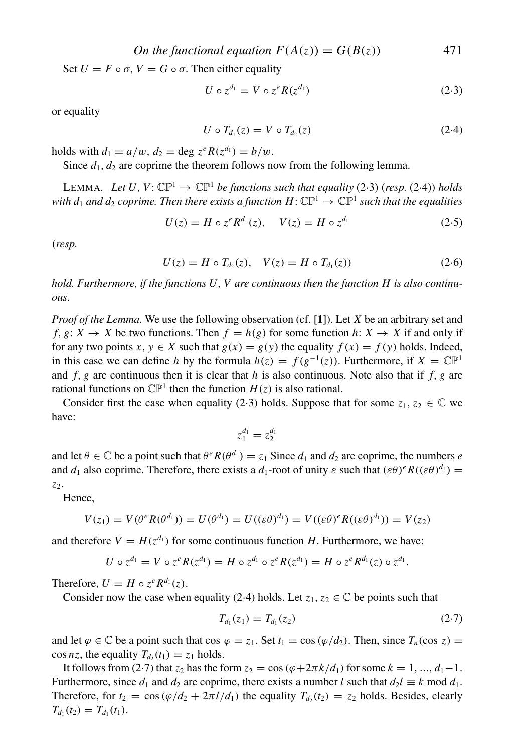*On the functional equation*  $F(A(z)) = G(B(z))$  471

Set  $U = F \circ \sigma$ ,  $V = G \circ \sigma$ . Then either equality

$$
U \circ z^{d_1} = V \circ z^e R(z^{d_1}) \tag{2.3}
$$

or equality

$$
U \circ T_{d_1}(z) = V \circ T_{d_2}(z) \tag{2.4}
$$

holds with  $d_1 = a/w$ ,  $d_2 = \text{deg } z^e R(z^{d_1}) = b/w$ .

Since  $d_1, d_2$  are coprime the theorem follows now from the following lemma.

LEMMA. Let  $U, V: \mathbb{CP}^1 \to \mathbb{CP}^1$  *be functions such that equality* (2.3) (*resp.* (2.4)) *holds with d<sub>1</sub> and d<sub>2</sub> coprime. Then there exists a function H:*  $\mathbb{CP}^1 \to \mathbb{CP}^1$  *such that the equalities* 

$$
U(z) = H \circ z^e R^{d_1}(z), \quad V(z) = H \circ z^{d_1} \tag{2.5}
$$

(*resp.*

$$
U(z) = H \circ T_{d_2}(z), \quad V(z) = H \circ T_{d_1}(z)
$$
\n(2.6)

*hold. Furthermore, if the functions U*, *V are continuous then the function H is also continuous.*

*Proof of the Lemma.* We use the following observation (cf. [**1**]). Let *X* be an arbitrary set and *f*, *g*:  $X \rightarrow X$  be two functions. Then  $f = h(g)$  for some function *h*:  $X \rightarrow X$  if and only if for any two points *x*,  $y \in X$  such that  $g(x) = g(y)$  the equality  $f(x) = f(y)$  holds. Indeed, in this case we can define *h* by the formula  $h(z) = f(g^{-1}(z))$ . Furthermore, if  $X = \mathbb{CP}^1$ and  $f$ ,  $g$  are continuous then it is clear that  $h$  is also continuous. Note also that if  $f$ ,  $g$  are rational functions on  $\mathbb{CP}^1$  then the function  $H(z)$  is also rational.

Consider first the case when equality (2·3) holds. Suppose that for some  $z_1, z_2 \in \mathbb{C}$  we have:

$$
z_1^{d_1}=z_2^{d_1}\,
$$

and let  $\theta \in \mathbb{C}$  be a point such that  $\theta^e R(\theta^{d_1}) = z_1$  Since  $d_1$  and  $d_2$  are coprime, the numbers *e* and  $d_1$  also coprime. Therefore, there exists a  $d_1$ -root of unity  $\varepsilon$  such that  $(\varepsilon \theta)^e R((\varepsilon \theta)^{d_1}) =$ *z*2.

Hence,

$$
V(z_1) = V(\theta^e R(\theta^{d_1})) = U(\theta^{d_1}) = U((\varepsilon \theta)^{d_1}) = V((\varepsilon \theta)^e R((\varepsilon \theta)^{d_1})) = V(z_2)
$$

and therefore  $V = H(z^{d_1})$  for some continuous function *H*. Furthermore, we have:

$$
U \circ z^{d_1} = V \circ z^e R(z^{d_1}) = H \circ z^{d_1} \circ z^e R(z^{d_1}) = H \circ z^e R^{d_1}(z) \circ z^{d_1}.
$$

Therefore,  $U = H \circ z^e R^{d_1}(z)$ .

Consider now the case when equality (2.4) holds. Let  $z_1, z_2 \in \mathbb{C}$  be points such that

$$
T_{d_1}(z_1) = T_{d_1}(z_2) \tag{2.7}
$$

and let  $\varphi \in \mathbb{C}$  be a point such that cos  $\varphi = z_1$ . Set  $t_1 = \cos(\varphi/d_2)$ . Then, since  $T_n(\cos z) =$  $\cos nz$ , the equality  $T_{d_2}(t_1) = z_1$  holds.

It follows from (2·7) that  $z_2$  has the form  $z_2 = \cos((\varphi + 2\pi k/d_1))$  for some  $k = 1, ..., d_1 - 1$ . Furthermore, since  $d_1$  and  $d_2$  are coprime, there exists a number *l* such that  $d_2$ *l*  $\equiv$  *k* mod  $d_1$ . Therefore, for  $t_2 = \cos(\frac{\varphi}{d_2} + \frac{2\pi l}{d_1})$  the equality  $T_{d_2}(t_2) = z_2$  holds. Besides, clearly  $T_{d_1}(t_2) = T_{d_1}(t_1).$